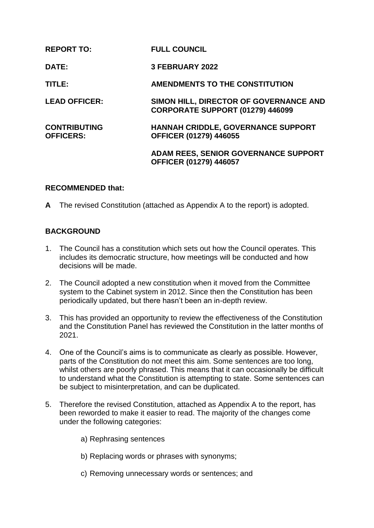| <b>REPORT TO:</b>                       | <b>FULL COUNCIL</b>                                                          |
|-----------------------------------------|------------------------------------------------------------------------------|
| <b>DATE:</b>                            | <b>3 FEBRUARY 2022</b>                                                       |
| TITLE:                                  | <b>AMENDMENTS TO THE CONSTITUTION</b>                                        |
| <b>LEAD OFFICER:</b>                    | SIMON HILL, DIRECTOR OF GOVERNANCE AND<br>CORPORATE SUPPORT (01279) 446099   |
| <b>CONTRIBUTING</b><br><b>OFFICERS:</b> | <b>HANNAH CRIDDLE, GOVERNANCE SUPPORT</b><br>OFFICER (01279) 446055          |
|                                         | <b>ADAM REES, SENIOR GOVERNANCE SUPPORT</b><br><b>OFFICER (01279) 446057</b> |

#### **RECOMMENDED that:**

**A** The revised Constitution (attached as Appendix A to the report) is adopted.

## **BACKGROUND**

- 1. The Council has a constitution which sets out how the Council operates. This includes its democratic structure, how meetings will be conducted and how decisions will be made.
- 2. The Council adopted a new constitution when it moved from the Committee system to the Cabinet system in 2012. Since then the Constitution has been periodically updated, but there hasn't been an in-depth review.
- 3. This has provided an opportunity to review the effectiveness of the Constitution and the Constitution Panel has reviewed the Constitution in the latter months of 2021.
- 4. One of the Council's aims is to communicate as clearly as possible. However, parts of the Constitution do not meet this aim. Some sentences are too long, whilst others are poorly phrased. This means that it can occasionally be difficult to understand what the Constitution is attempting to state. Some sentences can be subject to misinterpretation, and can be duplicated.
- 5. Therefore the revised Constitution, attached as Appendix A to the report, has been reworded to make it easier to read. The majority of the changes come under the following categories:
	- a) Rephrasing sentences
	- b) Replacing words or phrases with synonyms;
	- c) Removing unnecessary words or sentences; and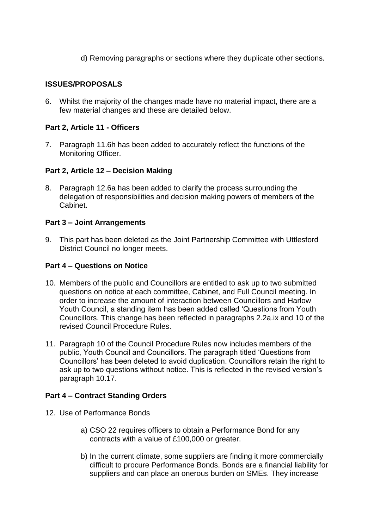d) Removing paragraphs or sections where they duplicate other sections.

# **ISSUES/PROPOSALS**

6. Whilst the majority of the changes made have no material impact, there are a few material changes and these are detailed below.

# **Part 2, Article 11 - Officers**

7. Paragraph 11.6h has been added to accurately reflect the functions of the Monitoring Officer.

## **Part 2, Article 12 – Decision Making**

8. Paragraph 12.6a has been added to clarify the process surrounding the delegation of responsibilities and decision making powers of members of the Cabinet.

#### **Part 3 – Joint Arrangements**

9. This part has been deleted as the Joint Partnership Committee with Uttlesford District Council no longer meets.

## **Part 4 – Questions on Notice**

- 10. Members of the public and Councillors are entitled to ask up to two submitted questions on notice at each committee, Cabinet, and Full Council meeting. In order to increase the amount of interaction between Councillors and Harlow Youth Council, a standing item has been added called 'Questions from Youth Councillors. This change has been reflected in paragraphs 2.2a.ix and 10 of the revised Council Procedure Rules.
- 11. Paragraph 10 of the Council Procedure Rules now includes members of the public, Youth Council and Councillors. The paragraph titled 'Questions from Councillors' has been deleted to avoid duplication. Councillors retain the right to ask up to two questions without notice. This is reflected in the revised version's paragraph 10.17.

## **Part 4 – Contract Standing Orders**

- 12. Use of Performance Bonds
	- a) CSO 22 requires officers to obtain a Performance Bond for any contracts with a value of £100,000 or greater.
	- b) In the current climate, some suppliers are finding it more commercially difficult to procure Performance Bonds. Bonds are a financial liability for suppliers and can place an onerous burden on SMEs. They increase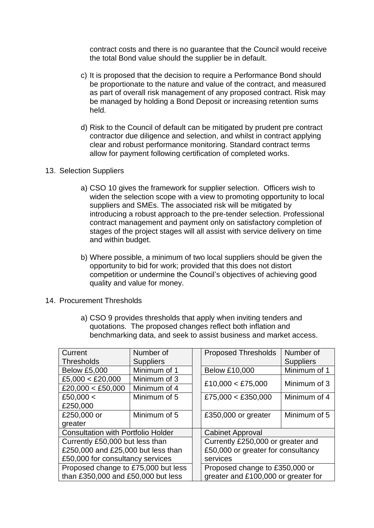contract costs and there is no guarantee that the Council would receive the total Bond value should the supplier be in default.

- c) It is proposed that the decision to require a Performance Bond should be proportionate to the nature and value of the contract, and measured as part of overall risk management of any proposed contract. Risk may be managed by holding a Bond Deposit or increasing retention sums held.
- d) Risk to the Council of default can be mitigated by prudent pre contract contractor due diligence and selection, and whilst in contract applying clear and robust performance monitoring. Standard contract terms allow for payment following certification of completed works.

#### 13. Selection Suppliers

- a) CSO 10 gives the framework for supplier selection. Officers wish to widen the selection scope with a view to promoting opportunity to local suppliers and SMEs. The associated risk will be mitigated by introducing a robust approach to the pre-tender selection. Professional contract management and payment only on satisfactory completion of stages of the project stages will all assist with service delivery on time and within budget.
- b) Where possible, a minimum of two local suppliers should be given the opportunity to bid for work; provided that this does not distort competition or undermine the Council's objectives of achieving good quality and value for money.
- 14. Procurement Thresholds
	- a) CSO 9 provides thresholds that apply when inviting tenders and quotations. The proposed changes reflect both inflation and benchmarking data, and seek to assist business and market access.

| Current                                   | Number of        |  | <b>Proposed Thresholds</b>                                              | Number of        |  |
|-------------------------------------------|------------------|--|-------------------------------------------------------------------------|------------------|--|
| <b>Thresholds</b>                         | <b>Suppliers</b> |  |                                                                         | <b>Suppliers</b> |  |
| <b>Below £5,000</b>                       | Minimum of 1     |  | <b>Below £10,000</b>                                                    | Minimum of 1     |  |
| £5,000 < £20,000                          | Minimum of 3     |  | £10,000 < £75,000                                                       | Minimum of 3     |  |
| £20,000 < £50,000                         | Minimum of 4     |  |                                                                         |                  |  |
| £50,000 $<$                               | Minimum of 5     |  | £75,000 < £350,000                                                      | Minimum of 4     |  |
| £250,000                                  |                  |  |                                                                         |                  |  |
| £250,000 or                               | Minimum of 5     |  | £350,000 or greater                                                     | Minimum of 5     |  |
| greater                                   |                  |  |                                                                         |                  |  |
| <b>Consultation with Portfolio Holder</b> |                  |  | <b>Cabinet Approval</b>                                                 |                  |  |
| Currently £50,000 but less than           |                  |  | Currently £250,000 or greater and<br>£50,000 or greater for consultancy |                  |  |
| £250,000 and £25,000 but less than        |                  |  |                                                                         |                  |  |
| £50,000 for consultancy services          |                  |  | services                                                                |                  |  |
| Proposed change to £75,000 but less       |                  |  | Proposed change to £350,000 or                                          |                  |  |
| than £350,000 and £50,000 but less        |                  |  | greater and £100,000 or greater for                                     |                  |  |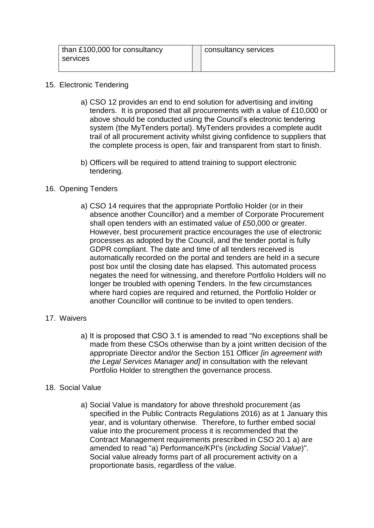| than £100,000 for consultancy | consultancy services |
|-------------------------------|----------------------|
| services                      |                      |
|                               |                      |

#### 15. Electronic Tendering

- a) CSO 12 provides an end to end solution for advertising and inviting tenders. It is proposed that all procurements with a value of £10,000 or above should be conducted using the Council's electronic tendering system (the MyTenders portal). MyTenders provides a complete audit trail of all procurement activity whilst giving confidence to suppliers that the complete process is open, fair and transparent from start to finish.
- b) Officers will be required to attend training to support electronic tendering.

# 16. Opening Tenders

a) CSO 14 requires that the appropriate Portfolio Holder (or in their absence another Councillor) and a member of Corporate Procurement shall open tenders with an estimated value of £50,000 or greater. However, best procurement practice encourages the use of electronic processes as adopted by the Council, and the tender portal is fully GDPR compliant. The date and time of all tenders received is automatically recorded on the portal and tenders are held in a secure post box until the closing date has elapsed. This automated process negates the need for witnessing, and therefore Portfolio Holders will no longer be troubled with opening Tenders. In the few circumstances where hard copies are required and returned, the Portfolio Holder or another Councillor will continue to be invited to open tenders.

## 17. Waivers

a) It is proposed that CSO 3.1 is amended to read "No exceptions shall be made from these CSOs otherwise than by a joint written decision of the appropriate Director and/or the Section 151 Officer *[in agreement with the Legal Services Manager and]* in consultation with the relevant Portfolio Holder to strengthen the governance process.

## 18. Social Value

a) Social Value is mandatory for above threshold procurement (as specified in the Public Contracts Regulations 2016) as at 1 January this year, and is voluntary otherwise. Therefore, to further embed social value into the procurement process it is recommended that the Contract Management requirements prescribed in CSO 20.1 a) are amended to read "a) Performance/KPI's (*including Social Value*)". Social value already forms part of all procurement activity on a proportionate basis, regardless of the value.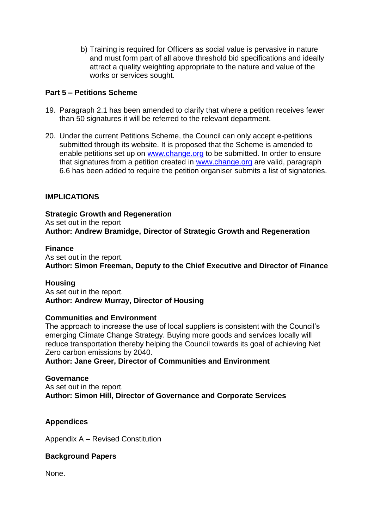b) Training is required for Officers as social value is pervasive in nature and must form part of all above threshold bid specifications and ideally attract a quality weighting appropriate to the nature and value of the works or services sought.

# **Part 5 – Petitions Scheme**

- 19. Paragraph 2.1 has been amended to clarify that where a petition receives fewer than 50 signatures it will be referred to the relevant department.
- 20. Under the current Petitions Scheme, the Council can only accept e-petitions submitted through its website. It is proposed that the Scheme is amended to enable petitions set up on [www.change.org](http://www.change.org/) to be submitted. In order to ensure that signatures from a petition created in [www.change.org](http://www.change.org/) are valid, paragraph 6.6 has been added to require the petition organiser submits a list of signatories.

# **IMPLICATIONS**

**Strategic Growth and Regeneration** As set out in the report **Author: Andrew Bramidge, Director of Strategic Growth and Regeneration** 

## **Finance**

As set out in the report. **Author: Simon Freeman, Deputy to the Chief Executive and Director of Finance**

## **Housing**

As set out in the report. **Author: Andrew Murray, Director of Housing** 

## **Communities and Environment**

The approach to increase the use of local suppliers is consistent with the Council's emerging Climate Change Strategy. Buying more goods and services locally will reduce transportation thereby helping the Council towards its goal of achieving Net Zero carbon emissions by 2040.

**Author: Jane Greer, Director of Communities and Environment**

#### **Governance**

As set out in the report. **Author: Simon Hill, Director of Governance and Corporate Services**

## **Appendices**

Appendix A – Revised Constitution

## **Background Papers**

None.